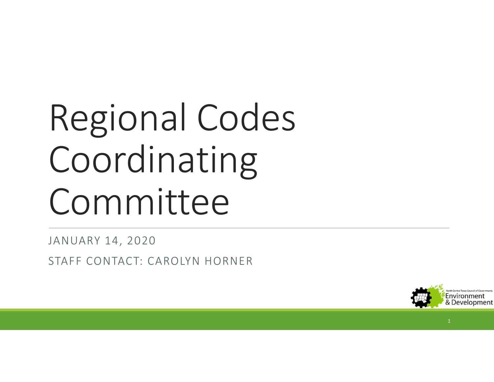# Regional Codes Coordinating Committee

JANUARY 14, 2020

STAFF CONTACT: CAROLYN HORNER

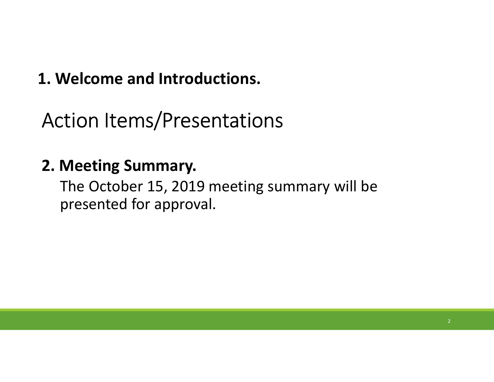#### 1. Welcome and Introductions.

Action Items/Presentations

#### 2. Meeting Summary.

The October 15, 2019 meeting summary will be presented for approval.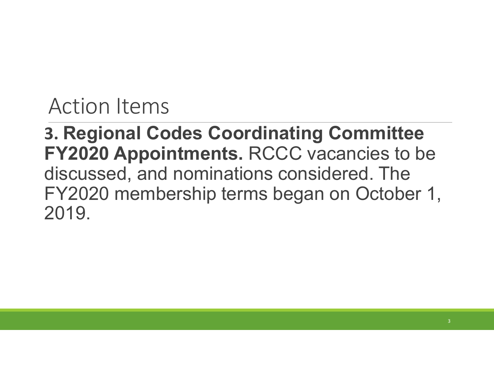3. Regional Codes Coordinating Committee FY2020 Appointments. RCCC vacancies to be discussed, and nominations considered. The FY2020 membership terms began on October 1, 2019.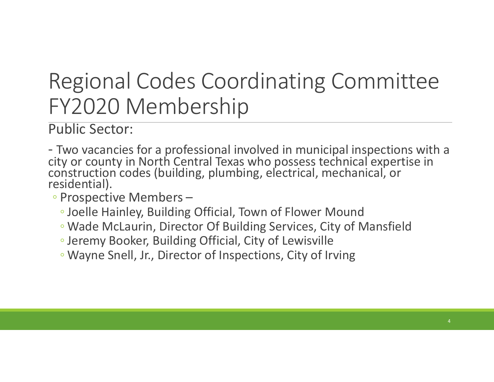### Regional Codes Coordinating Committee FY2020 Membership

Public Sector:

- Two vacancies for a professional involved in municipal inspections with a city or county in North Central Texas who possess technical expertise in construction codes (building, plumbing, electrical, mechanical, or residential).

◦ Prospective Members –

- Joelle Hainley, Building Official, Town of Flower Mound
- Wade McLaurin, Director Of Building Services, City of Mansfield
- Jeremy Booker, Building Official, City of Lewisville
- Wayne Snell, Jr., Director of Inspections, City of Irving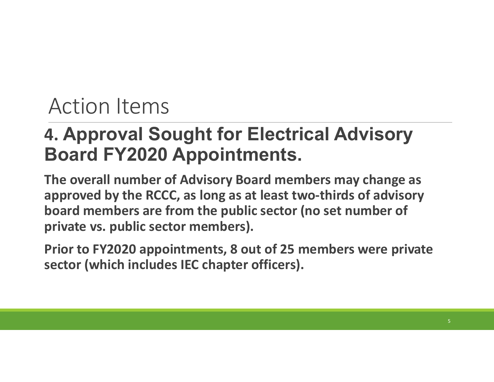#### 4. Approval Sought for Electrical Advisory Board FY2020 Appointments.

The overall number of Advisory Board members may change as approved by the RCCC, as long as at least two-thirds of advisory board members are from the public sector (no set number of private vs. public sector members).

Prior to FY2020 appointments, 8 out of 25 members were private sector (which includes IEC chapter officers).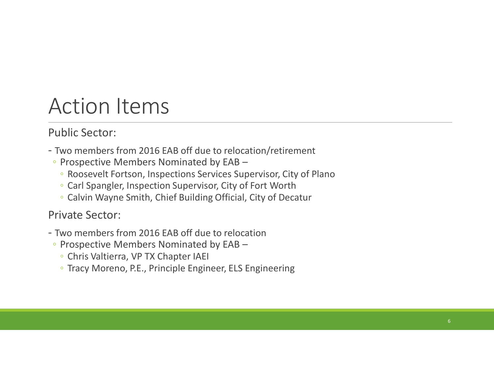#### Public Sector:

- Two members from 2016 EAB off due to relocation/retirement
- Prospective Members Nominated by EAB
	- Roosevelt Fortson, Inspections Services Supervisor, City of Plano
	- Carl Spangler, Inspection Supervisor, City of Fort Worth
	- Calvin Wayne Smith, Chief Building Official, City of Decatur

#### Private Sector:

- Two members from 2016 EAB off due to relocation
- Prospective Members Nominated by EAB
	- Chris Valtierra, VP TX Chapter IAEI
	- Tracy Moreno, P.E., Principle Engineer, ELS Engineering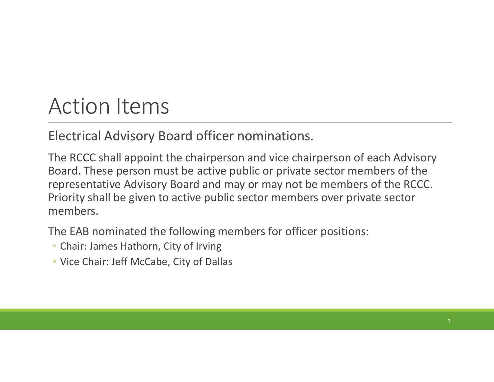Electrical Advisory Board officer nominations.

The RCCC shall appoint the chairperson and vice chairperson of each Advisory Board. These person must be active public or private sector members of the representative Advisory Board and may or may not be members of the RCCC. Priority shall be given to active public sector members over private sector members.

The EAB nominated the following members for officer positions:

- Chair: James Hathorn, City of Irving
- Vice Chair: Jeff McCabe, City of Dallas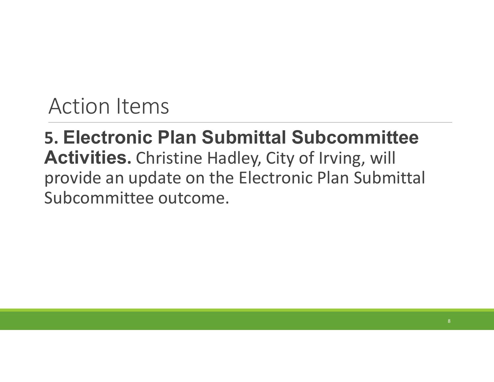#### 5. Electronic Plan Submittal Subcommittee Activities. Christine Hadley, City of Irving, will provide an update on the Electronic Plan Submittal Subcommittee outcome.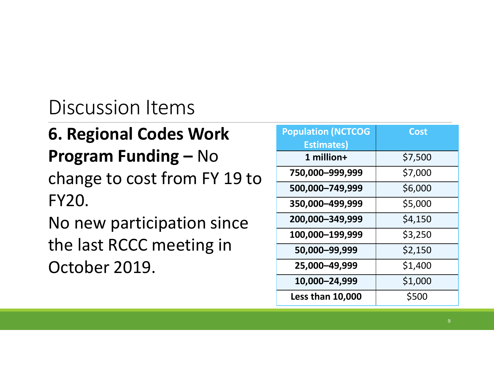#### 6. Regional Codes Work Program Funding – No change to cost from FY 19 to FY20.

No new participation since the last RCCC meeting in October 2019.

| <b>Population (NCTCOG</b><br><b>Estimates)</b> | <b>Cost</b> |  |
|------------------------------------------------|-------------|--|
| 1 million+                                     | \$7,500     |  |
| 750,000-999,999                                | \$7,000     |  |
| 500,000-749,999                                | \$6,000     |  |
| 350,000-499,999                                | \$5,000     |  |
| 200,000-349,999                                | \$4,150     |  |
| 100,000-199,999                                | \$3,250     |  |
| 50,000-99,999                                  | \$2,150     |  |
| 25,000-49,999                                  | \$1,400     |  |
| 10,000-24,999                                  | \$1,000     |  |
| <b>Less than 10,000</b>                        | \$500       |  |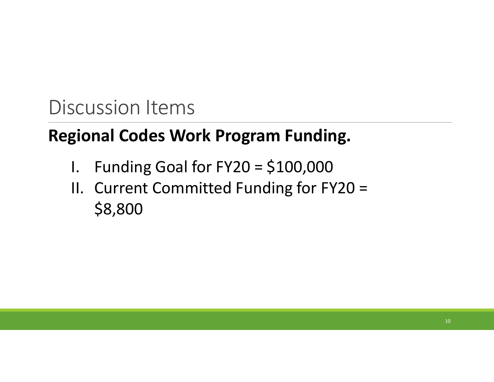#### Regional Codes Work Program Funding.

- 
- Scussion Items<br>**I. Funding Goal for Frogram Funding.**<br>I. Funding Goal for FY20 = \$100,000<br>II. Current Committed Funding for FY20 =<br>\$8,800 Scussion Items<br> **II. Committed Funding Funding**<br>
I. Funding Goal for FY20 = \$100,000<br>
II. Current Committed Funding for FY20 =<br>
\$8,800 \$8,800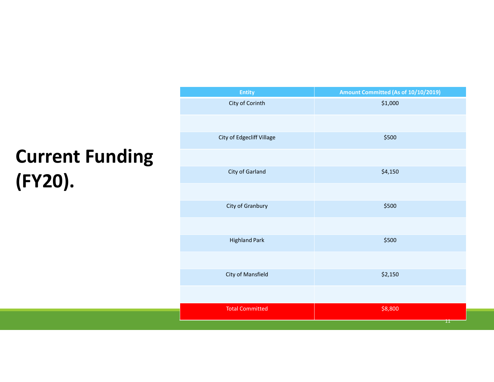### Current Funding (FY20).

| Entity                    | Amount Committed (As of 10/10/2019) |
|---------------------------|-------------------------------------|
| City of Corinth           | \$1,000                             |
| City of Edgecliff Village | \$500                               |
| City of Garland           | \$4,150                             |
|                           |                                     |
| City of Granbury          | \$500                               |
| <b>Highland Park</b>      | \$500                               |
| City of Mansfield         | \$2,150                             |
|                           |                                     |
| <b>Total Committed</b>    | \$8,800                             |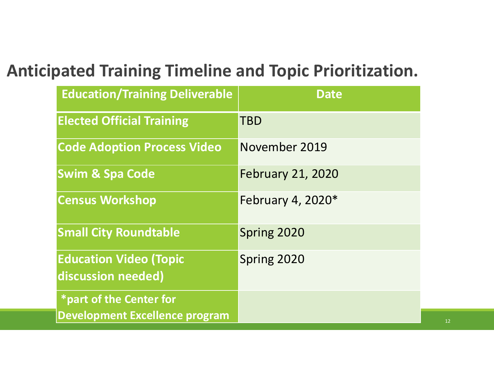#### Anticipated Training Timeline and Topic Prioritization.

|                                                                  | <b>oated Training Timeline and Topic Prioritization.</b> |
|------------------------------------------------------------------|----------------------------------------------------------|
| <b>Education/Training Deliverable</b>                            | <b>Date</b>                                              |
| <b>Elected Official Training</b>                                 | <b>TBD</b>                                               |
| <b>Code Adoption Process Video</b>                               | November 2019                                            |
| <b>Swim &amp; Spa Code</b>                                       | <b>February 21, 2020</b>                                 |
| <b>Census Workshop</b>                                           | February 4, 2020*                                        |
| <b>Small City Roundtable</b>                                     | Spring 2020                                              |
| <b>Education Video (Topic</b>                                    | Spring 2020                                              |
| discussion needed)                                               |                                                          |
| *part of the Center for<br><b>Development Excellence program</b> |                                                          |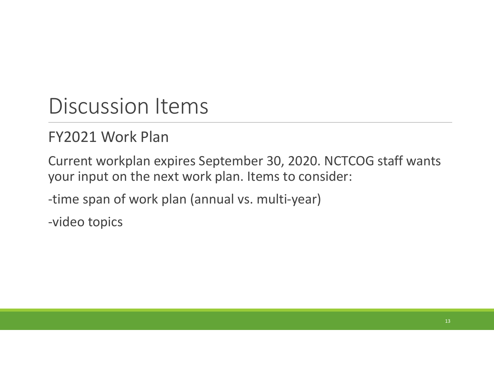#### FY2021 Work Plan

Current workplan expires September 30, 2020. NCTCOG staff wants your input on the next work plan. Items to consider:

-time span of work plan (annual vs. multi-year)

-video topics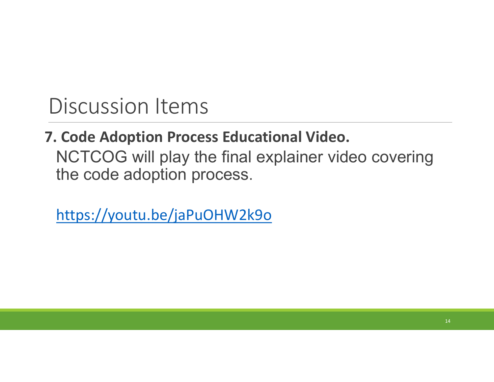# 7. Code Adoption Process Educational Video. NCTCOG will play the final explainer video covering the code adoption process.<br>https://youtu.be/jaPuOHW2k9o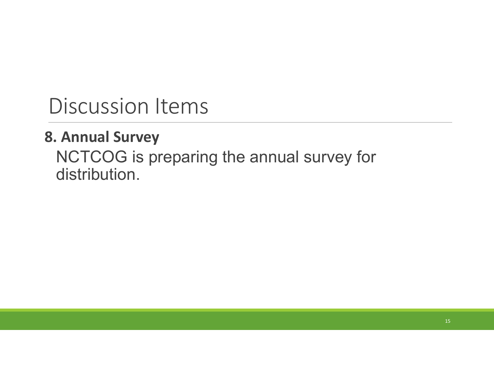#### 8. Annual Survey

NCTCOG is preparing the annual survey for distribution.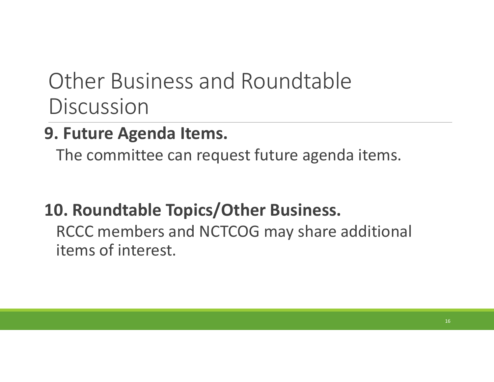### Other Business and Roundtable **Discussion**

#### 9. Future Agenda Items.

The committee can request future agenda items.

#### 10. Roundtable Topics/Other Business.

RCCC members and NCTCOG may share additional items of interest.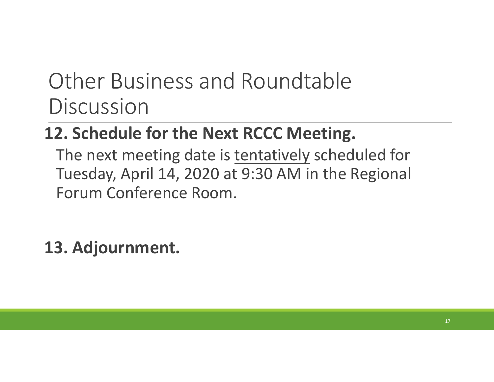### Other Business and Roundtable **Discussion**

#### 12. Schedule for the Next RCCC Meeting.

Other Business and Roundtable<br>Discussion<br>**2. Schedule for the Next RCCC Meeting.**<br>The next meeting date is <u>tentatively</u> scheduled for<br>Tuesday, April 14, 2020 at 9:30 AM in the Regional<br>Forum Conference Room. Tuesday, April 14, 2020 at 9:30 AM in the Regional Forum Conference Room.

#### 13. Adjournment.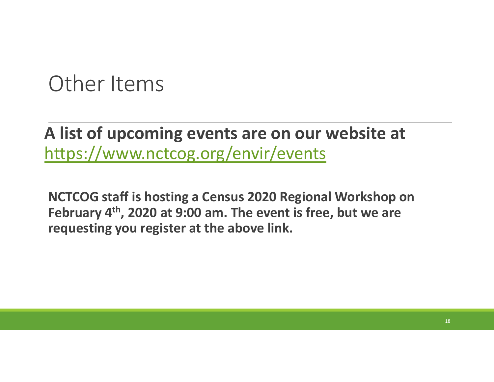### Other Items

#### A list of upcoming events are on our website at https://www.nctcog.org/envir/events

NCTCOG staff is hosting a Census 2020 Regional Workshop on February 4<sup>th</sup>, 2020 at 9:00 am. The event is free, but we are requesting you register at the above link.